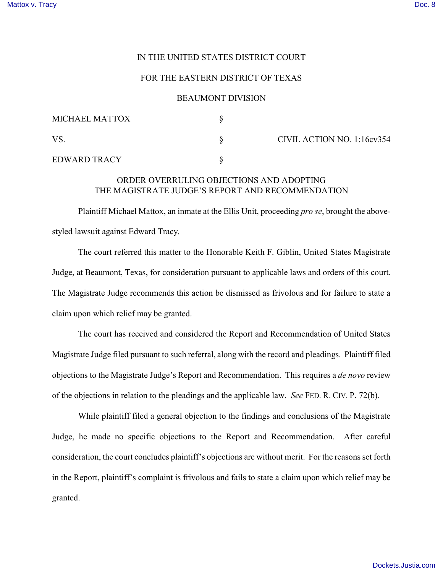### IN THE UNITED STATES DISTRICT COURT

## FOR THE EASTERN DISTRICT OF TEXAS

### BEAUMONT DIVISION

| MICHAEL MATTOX      |                            |
|---------------------|----------------------------|
| VS.                 | CIVIL ACTION NO. 1:16cv354 |
| <b>EDWARD TRACY</b> |                            |

# ORDER OVERRULING OBJECTIONS AND ADOPTING THE MAGISTRATE JUDGE'S REPORT AND RECOMMENDATION

Plaintiff Michael Mattox, an inmate at the Ellis Unit, proceeding *pro se*, brought the abovestyled lawsuit against Edward Tracy.

The court referred this matter to the Honorable Keith F. Giblin, United States Magistrate Judge, at Beaumont, Texas, for consideration pursuant to applicable laws and orders of this court. The Magistrate Judge recommends this action be dismissed as frivolous and for failure to state a claim upon which relief may be granted.

The court has received and considered the Report and Recommendation of United States Magistrate Judge filed pursuant to such referral, along with the record and pleadings. Plaintiff filed objections to the Magistrate Judge's Report and Recommendation. This requires a *de novo* review of the objections in relation to the pleadings and the applicable law. *See* FED. R. CIV. P. 72(b).

While plaintiff filed a general objection to the findings and conclusions of the Magistrate Judge, he made no specific objections to the Report and Recommendation. After careful consideration, the court concludes plaintiff's objections are without merit. For the reasons set forth in the Report, plaintiff's complaint is frivolous and fails to state a claim upon which relief may be granted.